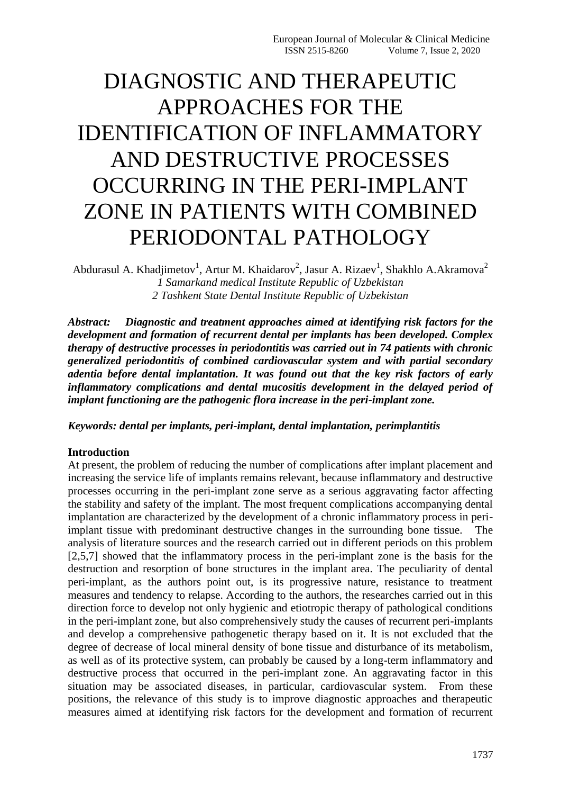# DIAGNOSTIC AND THERAPEUTIC APPROACHES FOR THE IDENTIFICATION OF INFLAMMATORY AND DESTRUCTIVE PROCESSES OCCURRING IN THE PERI-IMPLANT ZONE IN PATIENTS WITH COMBINED PERIODONTAL PATHOLOGY

Abdurasul A. Khadjimetov<sup>1</sup>, Artur M. Khaidarov<sup>2</sup>, Jasur A. Rizaev<sup>1</sup>, Shakhlo A.Akramova<sup>2</sup> *1 Samarkand medical Institute Republic of Uzbekistan 2 Tashkent State Dental Institute Republic of Uzbekistan* 

*Abstract: Diagnostic and treatment approaches aimed at identifying risk factors for the development and formation of recurrent dental per implants has been developed. Complex therapy of destructive processes in periodontitis was carried out in 74 patients with chronic generalized periodontitis of combined cardiovascular system and with partial secondary adentia before dental implantation. It was found out that the key risk factors of early inflammatory complications and dental mucositis development in the delayed period of implant functioning are the pathogenic flora increase in the peri-implant zone.*

*Keywords: dental per implants, peri-implant, dental implantation, perimplantitis*

## **Introduction**

At present, the problem of reducing the number of complications after implant placement and increasing the service life of implants remains relevant, because inflammatory and destructive processes occurring in the peri-implant zone serve as a serious aggravating factor affecting the stability and safety of the implant. The most frequent complications accompanying dental implantation are characterized by the development of a chronic inflammatory process in periimplant tissue with predominant destructive changes in the surrounding bone tissue. The analysis of literature sources and the research carried out in different periods on this problem [2,5,7] showed that the inflammatory process in the peri-implant zone is the basis for the destruction and resorption of bone structures in the implant area. The peculiarity of dental peri-implant, as the authors point out, is its progressive nature, resistance to treatment measures and tendency to relapse. According to the authors, the researches carried out in this direction force to develop not only hygienic and etiotropic therapy of pathological conditions in the peri-implant zone, but also comprehensively study the causes of recurrent peri-implants and develop a comprehensive pathogenetic therapy based on it. It is not excluded that the degree of decrease of local mineral density of bone tissue and disturbance of its metabolism, as well as of its protective system, can probably be caused by a long-term inflammatory and destructive process that occurred in the peri-implant zone. An aggravating factor in this situation may be associated diseases, in particular, cardiovascular system. From these positions, the relevance of this study is to improve diagnostic approaches and therapeutic measures aimed at identifying risk factors for the development and formation of recurrent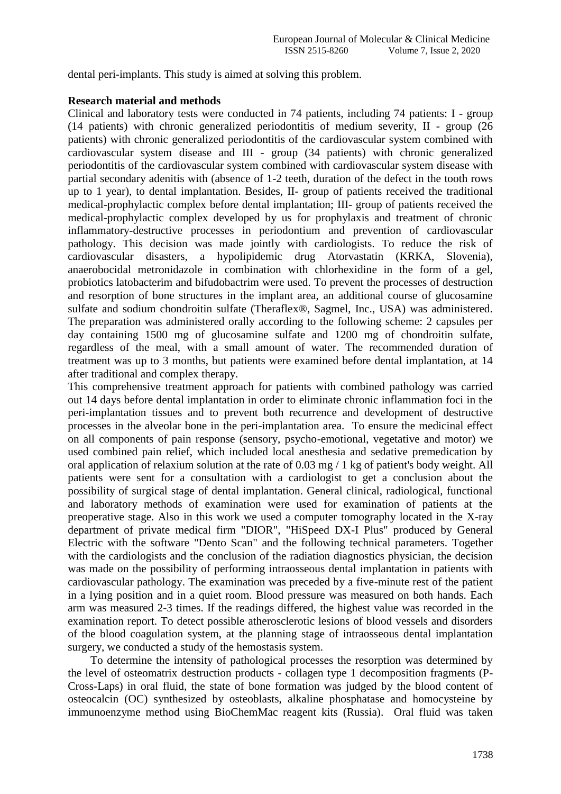dental peri-implants. This study is aimed at solving this problem.

### **Research material and methods**

Clinical and laboratory tests were conducted in 74 patients, including 74 patients: I - group (14 patients) with chronic generalized periodontitis of medium severity, II - group (26 patients) with chronic generalized periodontitis of the cardiovascular system combined with cardiovascular system disease and III - group (34 patients) with chronic generalized periodontitis of the cardiovascular system combined with cardiovascular system disease with partial secondary adenitis with (absence of 1-2 teeth, duration of the defect in the tooth rows up to 1 year), to dental implantation. Besides, II- group of patients received the traditional medical-prophylactic complex before dental implantation; III- group of patients received the medical-prophylactic complex developed by us for prophylaxis and treatment of chronic inflammatory-destructive processes in periodontium and prevention of cardiovascular pathology. This decision was made jointly with cardiologists. To reduce the risk of cardiovascular disasters, a hypolipidemic drug Atorvastatin (KRKA, Slovenia), anaerobocidal metronidazole in combination with chlorhexidine in the form of a gel, probiotics latobacterim and bifudobactrim were used. To prevent the processes of destruction and resorption of bone structures in the implant area, an additional course of glucosamine sulfate and sodium chondroitin sulfate (Theraflex®, Sagmel, Inc., USA) was administered. The preparation was administered orally according to the following scheme: 2 capsules per day containing 1500 mg of glucosamine sulfate and 1200 mg of chondroitin sulfate, regardless of the meal, with a small amount of water. The recommended duration of treatment was up to 3 months, but patients were examined before dental implantation, at 14 after traditional and complex therapy.

This comprehensive treatment approach for patients with combined pathology was carried out 14 days before dental implantation in order to eliminate chronic inflammation foci in the peri-implantation tissues and to prevent both recurrence and development of destructive processes in the alveolar bone in the peri-implantation area. To ensure the medicinal effect on all components of pain response (sensory, psycho-emotional, vegetative and motor) we used combined pain relief, which included local anesthesia and sedative premedication by oral application of relaxium solution at the rate of 0.03 mg / 1 kg of patient's body weight. All patients were sent for a consultation with a cardiologist to get a conclusion about the possibility of surgical stage of dental implantation. General clinical, radiological, functional and laboratory methods of examination were used for examination of patients at the preoperative stage. Also in this work we used a computer tomography located in the X-ray department of private medical firm "DIOR", "HiSpeed DX-I Plus" produced by General Electric with the software "Dento Scan" and the following technical parameters. Together with the cardiologists and the conclusion of the radiation diagnostics physician, the decision was made on the possibility of performing intraosseous dental implantation in patients with cardiovascular pathology. The examination was preceded by a five-minute rest of the patient in a lying position and in a quiet room. Blood pressure was measured on both hands. Each arm was measured 2-3 times. If the readings differed, the highest value was recorded in the examination report. To detect possible atherosclerotic lesions of blood vessels and disorders of the blood coagulation system, at the planning stage of intraosseous dental implantation surgery, we conducted a study of the hemostasis system.

 To determine the intensity of pathological processes the resorption was determined by the level of osteomatrix destruction products - collagen type 1 decomposition fragments (P-Cross-Laps) in oral fluid, the state of bone formation was judged by the blood content of osteocalcin (OC) synthesized by osteoblasts, alkaline phosphatase and homocysteine by immunoenzyme method using BioChemMac reagent kits (Russia). Oral fluid was taken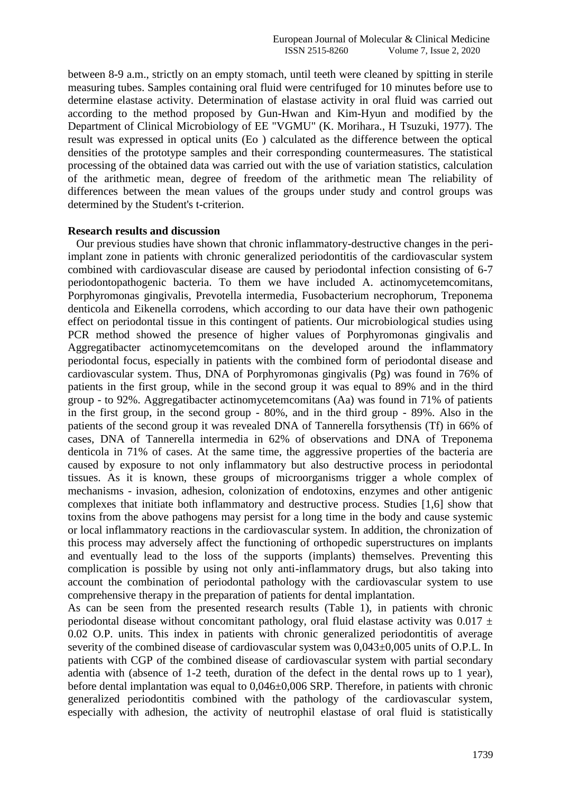between 8-9 a.m., strictly on an empty stomach, until teeth were cleaned by spitting in sterile measuring tubes. Samples containing oral fluid were centrifuged for 10 minutes before use to determine elastase activity. Determination of elastase activity in oral fluid was carried out according to the method proposed by Gun-Hwan and Kim-Hyun and modified by the Department of Clinical Microbiology of EE "VGMU" (K. Morihara., H Tsuzuki, 1977). The result was expressed in optical units (Eo ) calculated as the difference between the optical densities of the prototype samples and their corresponding countermeasures. The statistical processing of the obtained data was carried out with the use of variation statistics, calculation of the arithmetic mean, degree of freedom of the arithmetic mean The reliability of differences between the mean values of the groups under study and control groups was determined by the Student's t-criterion.

#### **Research results and discussion**

 Our previous studies have shown that chronic inflammatory-destructive changes in the periimplant zone in patients with chronic generalized periodontitis of the cardiovascular system combined with cardiovascular disease are caused by periodontal infection consisting of 6-7 periodontopathogenic bacteria. To them we have included A. actinomycetemcomitans, Porphyromonas gingivalis, Prevotella intermedia, Fusobacterium necrophorum, Treponema denticola and Eikenella corrodens, which according to our data have their own pathogenic effect on periodontal tissue in this contingent of patients. Our microbiological studies using PCR method showed the presence of higher values of Porphyromonas gingivalis and Aggregatibacter actinomycetemcomitans on the developed around the inflammatory periodontal focus, especially in patients with the combined form of periodontal disease and cardiovascular system. Thus, DNA of Porphyromonas gingivalis (Pg) was found in 76% of patients in the first group, while in the second group it was equal to 89% and in the third group - to 92%. Aggregatibacter actinomycetemcomitans (Aa) was found in 71% of patients in the first group, in the second group - 80%, and in the third group - 89%. Also in the patients of the second group it was revealed DNA of Tannerella forsythensis (Tf) in 66% of cases, DNA of Tannerella intermedia in 62% of observations and DNA of Treponema denticola in 71% of cases. At the same time, the aggressive properties of the bacteria are caused by exposure to not only inflammatory but also destructive process in periodontal tissues. As it is known, these groups of microorganisms trigger a whole complex of mechanisms - invasion, adhesion, colonization of endotoxins, enzymes and other antigenic complexes that initiate both inflammatory and destructive process. Studies [1,6] show that toxins from the above pathogens may persist for a long time in the body and cause systemic or local inflammatory reactions in the cardiovascular system. In addition, the chronization of this process may adversely affect the functioning of orthopedic superstructures on implants and eventually lead to the loss of the supports (implants) themselves. Preventing this complication is possible by using not only anti-inflammatory drugs, but also taking into account the combination of periodontal pathology with the cardiovascular system to use comprehensive therapy in the preparation of patients for dental implantation.

As can be seen from the presented research results (Table 1), in patients with chronic periodontal disease without concomitant pathology, oral fluid elastase activity was  $0.017 \pm$ 0.02 O.P. units. This index in patients with chronic generalized periodontitis of average severity of the combined disease of cardiovascular system was  $0,043\pm0,005$  units of O.P.L. In patients with CGP of the combined disease of cardiovascular system with partial secondary adentia with (absence of 1-2 teeth, duration of the defect in the dental rows up to 1 year), before dental implantation was equal to  $0.046\pm0.006$  SRP. Therefore, in patients with chronic generalized periodontitis combined with the pathology of the cardiovascular system, especially with adhesion, the activity of neutrophil elastase of oral fluid is statistically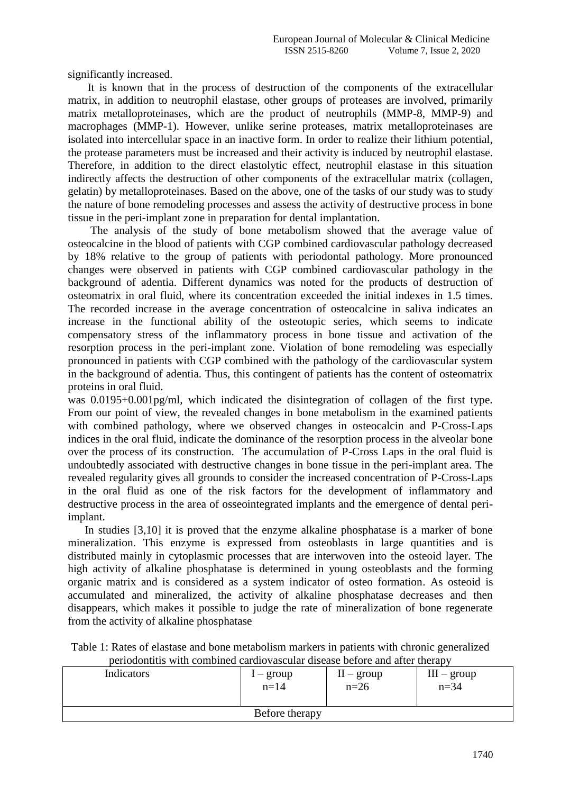significantly increased.

 It is known that in the process of destruction of the components of the extracellular matrix, in addition to neutrophil elastase, other groups of proteases are involved, primarily matrix metalloproteinases, which are the product of neutrophils (MMP-8, MMP-9) and macrophages (MMP-1). However, unlike serine proteases, matrix metalloproteinases are isolated into intercellular space in an inactive form. In order to realize their lithium potential, the protease parameters must be increased and their activity is induced by neutrophil elastase. Therefore, in addition to the direct elastolytic effect, neutrophil elastase in this situation indirectly affects the destruction of other components of the extracellular matrix (collagen, gelatin) by metalloproteinases. Based on the above, one of the tasks of our study was to study the nature of bone remodeling processes and assess the activity of destructive process in bone tissue in the peri-implant zone in preparation for dental implantation.

 The analysis of the study of bone metabolism showed that the average value of osteocalcine in the blood of patients with CGP combined cardiovascular pathology decreased by 18% relative to the group of patients with periodontal pathology. More pronounced changes were observed in patients with CGP combined cardiovascular pathology in the background of adentia. Different dynamics was noted for the products of destruction of osteomatrix in oral fluid, where its concentration exceeded the initial indexes in 1.5 times. The recorded increase in the average concentration of osteocalcine in saliva indicates an increase in the functional ability of the osteotopic series, which seems to indicate compensatory stress of the inflammatory process in bone tissue and activation of the resorption process in the peri-implant zone. Violation of bone remodeling was especially pronounced in patients with CGP combined with the pathology of the cardiovascular system in the background of adentia. Thus, this contingent of patients has the content of osteomatrix proteins in oral fluid.

was 0.0195+0.001pg/ml, which indicated the disintegration of collagen of the first type. From our point of view, the revealed changes in bone metabolism in the examined patients with combined pathology, where we observed changes in osteocalcin and P-Cross-Laps indices in the oral fluid, indicate the dominance of the resorption process in the alveolar bone over the process of its construction. The accumulation of P-Cross Laps in the oral fluid is undoubtedly associated with destructive changes in bone tissue in the peri-implant area. The revealed regularity gives all grounds to consider the increased concentration of P-Cross-Laps in the oral fluid as one of the risk factors for the development of inflammatory and destructive process in the area of osseointegrated implants and the emergence of dental periimplant.

 In studies [3,10] it is proved that the enzyme alkaline phosphatase is a marker of bone mineralization. This enzyme is expressed from osteoblasts in large quantities and is distributed mainly in cytoplasmic processes that are interwoven into the osteoid layer. The high activity of alkaline phosphatase is determined in young osteoblasts and the forming organic matrix and is considered as a system indicator of osteo formation. As osteoid is accumulated and mineralized, the activity of alkaline phosphatase decreases and then disappears, which makes it possible to judge the rate of mineralization of bone regenerate from the activity of alkaline phosphatase

Table 1: Rates of elastase and bone metabolism markers in patients with chronic generalized periodontitis with combined cardiovascular disease before and after therapy

| Indicators | l – group<br>$n = 14$ | $II - group$<br>$n=26$ | $III - group$<br>$n = 34$ |
|------------|-----------------------|------------------------|---------------------------|
|            | Before therapy        |                        |                           |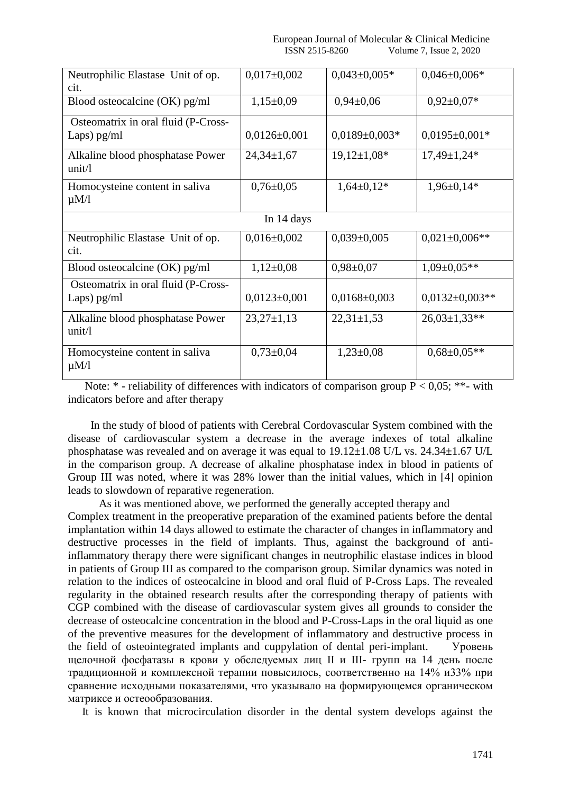| Neutrophilic Elastase Unit of op.                    | $0,017\pm0,002$    | $0,043\pm0,005*$    | $0,046 \pm 0,006*$   |  |
|------------------------------------------------------|--------------------|---------------------|----------------------|--|
| cit.                                                 |                    |                     |                      |  |
| Blood osteocalcine (OK) pg/ml                        | $1,15\pm0.09$      | $0,94\pm0,06$       | $0.92 \pm 0.07*$     |  |
| Osteomatrix in oral fluid (P-Cross-                  |                    |                     |                      |  |
| Laps) $pg/ml$                                        | $0,0126 \pm 0,001$ | $0.0189 \pm 0.003*$ | $0.0195 \pm 0.001*$  |  |
| Alkaline blood phosphatase Power<br>unit/l           | $24,34 \pm 1,67$   | $19,12\pm1,08*$     | $17,49 \pm 1,24*$    |  |
| Homocysteine content in saliva<br>$\mu M/l$          | $0,76 \pm 0.05$    | $1,64\pm0,12*$      | $1,96\pm0,14*$       |  |
| In 14 days                                           |                    |                     |                      |  |
| Neutrophilic Elastase Unit of op.<br>cit.            | $0,016 \pm 0,002$  | $0.039 \pm 0.005$   | $0.021 \pm 0.006$ ** |  |
| Blood osteocalcine $(OK)$ pg/ml                      | $1,12\pm0,08$      | $0,98 \pm 0,07$     | $1,09\pm0,05**$      |  |
| Osteomatrix in oral fluid (P-Cross-<br>Laps) $pg/ml$ | $0,0123\pm0,001$   | $0,0168 \pm 0,003$  | $0,0132 \pm 0,003**$ |  |
| Alkaline blood phosphatase Power<br>unit/l           | $23,27\pm1,13$     | $22,31 \pm 1,53$    | $26,03\pm1,33**$     |  |
| Homocysteine content in saliva<br>$\mu$ M/l          | $0,73\pm0,04$      | $1,23\pm0,08$       | $0.68 \pm 0.05**$    |  |

Note:  $*$  - reliability of differences with indicators of comparison group  $P < 0.05$ ;  $**$ - with indicators before and after therapy

 In the study of blood of patients with Cerebral Cordovascular System combined with the disease of cardiovascular system a decrease in the average indexes of total alkaline phosphatase was revealed and on average it was equal to 19.12±1.08 U/L vs. 24.34±1.67 U/L in the comparison group. A decrease of alkaline phosphatase index in blood in patients of Group III was noted, where it was 28% lower than the initial values, which in [4] opinion leads to slowdown of reparative regeneration.

 As it was mentioned above, we performed the generally accepted therapy and Complex treatment in the preoperative preparation of the examined patients before the dental implantation within 14 days allowed to estimate the character of changes in inflammatory and destructive processes in the field of implants. Thus, against the background of antiinflammatory therapy there were significant changes in neutrophilic elastase indices in blood in patients of Group III as compared to the comparison group. Similar dynamics was noted in relation to the indices of osteocalcine in blood and oral fluid of P-Cross Laps. The revealed regularity in the obtained research results after the corresponding therapy of patients with CGP combined with the disease of cardiovascular system gives all grounds to consider the decrease of osteocalcine concentration in the blood and P-Cross-Laps in the oral liquid as one of the preventive measures for the development of inflammatory and destructive process in the field of osteointegrated implants and cuppylation of dental peri-implant. Уровень щелочной фосфатазы в крови у обследуемых лиц II и III- групп на 14 день после традиционной и комплексной терапии повысилось, соответственно на 14% и33% при сравнение исходными показателями, что указывало на формирующемся органическом матриксе и остеообразования.

It is known that microcirculation disorder in the dental system develops against the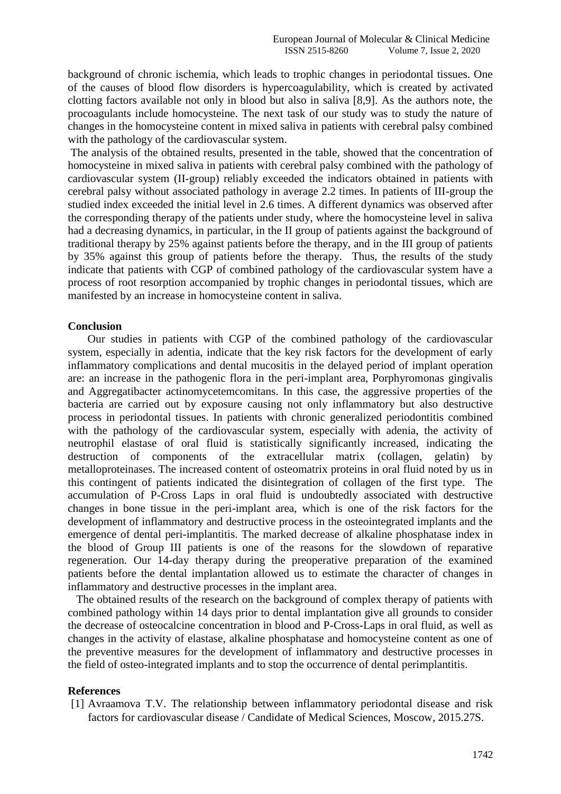background of chronic ischemia, which leads to trophic changes in periodontal tissues. One of the causes of blood flow disorders is hypercoagulability, which is created by activated clotting factors available not only in blood but also in saliva [8,9]. As the authors note, the procoagulants include homocysteine. The next task of our study was to study the nature of changes in the homocysteine content in mixed saliva in patients with cerebral palsy combined with the pathology of the cardiovascular system.

The analysis of the obtained results, presented in the table, showed that the concentration of homocysteine in mixed saliva in patients with cerebral palsy combined with the pathology of cardiovascular system (II-group) reliably exceeded the indicators obtained in patients with cerebral palsy without associated pathology in average 2.2 times. In patients of III-group the studied index exceeded the initial level in 2.6 times. A different dynamics was observed after the corresponding therapy of the patients under study, where the homocysteine level in saliva had a decreasing dynamics, in particular, in the II group of patients against the background of traditional therapy by 25% against patients before the therapy, and in the III group of patients by 35% against this group of patients before the therapy. Thus, the results of the study indicate that patients with CGP of combined pathology of the cardiovascular system have a process of root resorption accompanied by trophic changes in periodontal tissues, which are manifested by an increase in homocysteine content in saliva.

#### **Conclusion**

 Our studies in patients with CGP of the combined pathology of the cardiovascular system, especially in adentia, indicate that the key risk factors for the development of early inflammatory complications and dental mucositis in the delayed period of implant operation are: an increase in the pathogenic flora in the peri-implant area, Porphyromonas gingivalis and Aggregatibacter actinomycetemcomitans. In this case, the aggressive properties of the bacteria are carried out by exposure causing not only inflammatory but also destructive process in periodontal tissues. In patients with chronic generalized periodontitis combined with the pathology of the cardiovascular system, especially with adenia, the activity of neutrophil elastase of oral fluid is statistically significantly increased, indicating the destruction of components of the extracellular matrix (collagen, gelatin) by metalloproteinases. The increased content of osteomatrix proteins in oral fluid noted by us in this contingent of patients indicated the disintegration of collagen of the first type. The accumulation of P-Cross Laps in oral fluid is undoubtedly associated with destructive changes in bone tissue in the peri-implant area, which is one of the risk factors for the development of inflammatory and destructive process in the osteointegrated implants and the emergence of dental peri-implantitis. The marked decrease of alkaline phosphatase index in the blood of Group III patients is one of the reasons for the slowdown of reparative regeneration. Our 14-day therapy during the preoperative preparation of the examined patients before the dental implantation allowed us to estimate the character of changes in inflammatory and destructive processes in the implant area.

 The obtained results of the research on the background of complex therapy of patients with combined pathology within 14 days prior to dental implantation give all grounds to consider the decrease of osteocalcine concentration in blood and P-Cross-Laps in oral fluid, as well as changes in the activity of elastase, alkaline phosphatase and homocysteine content as one of the preventive measures for the development of inflammatory and destructive processes in the field of osteo-integrated implants and to stop the occurrence of dental perimplantitis.

#### **References**

[1] Avraamova T.V. The relationship between inflammatory periodontal disease and risk factors for cardiovascular disease / Candidate of Medical Sciences, Moscow, 2015.27S.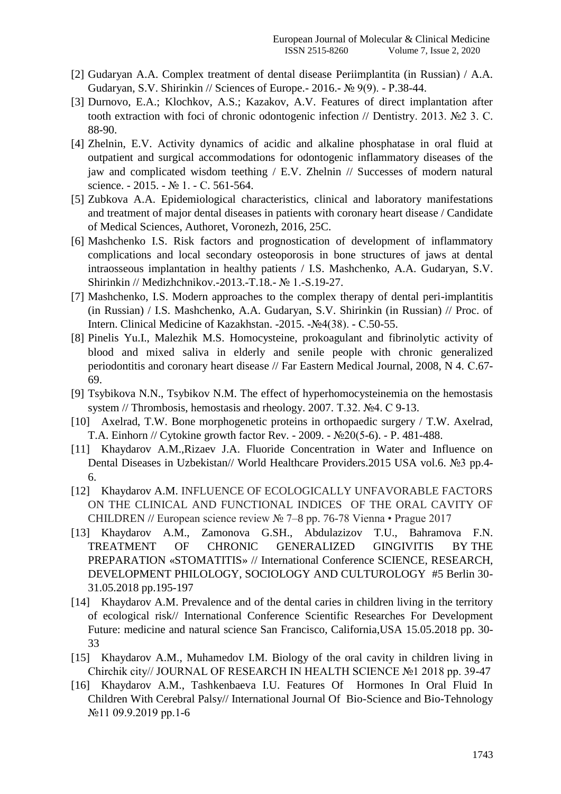- [2] Gudaryan A.A. Complex treatment of dental disease Periimplantita (in Russian) / A.A. Gudaryan, S.V. Shirinkin // Sciences of Europe.- 2016.- № 9(9). - Р.38-44.
- [3] Durnovo, E.A.; Klochkov, A.S.; Kazakov, A.V. Features of direct implantation after tooth extraction with foci of chronic odontogenic infection // Dentistry. 2013. №2 3. С. 88-90.
- [4] Zhelnin, E.V. Activity dynamics of acidic and alkaline phosphatase in oral fluid at outpatient and surgical accommodations for odontogenic inflammatory diseases of the jaw and complicated wisdom teething / E.V. Zhelnin // Successes of modern natural science. - 2015. - № 1. - С. 561-564.
- [5] Zubkova A.A. Epidemiological characteristics, clinical and laboratory manifestations and treatment of major dental diseases in patients with coronary heart disease / Candidate of Medical Sciences, Authoret, Voronezh, 2016, 25C.
- [6] Mashchenko I.S. Risk factors and prognostication of development of inflammatory complications and local secondary osteoporosis in bone structures of jaws at dental intraosseous implantation in healthy patients / I.S. Mashchenko, A.A. Gudaryan, S.V. Shirinkin // Medizhchnikov.-2013.-T.18.- № 1.-S.19-27.
- [7] Mashchenko, I.S. Modern approaches to the complex therapy of dental peri-implantitis (in Russian) / I.S. Mashchenko, A.A. Gudaryan, S.V. Shirinkin (in Russian) // Proc. of Intern. Clinical Medicine of Kazakhstan. -2015. -№4(38). - С.50-55.
- [8] Pinelis Yu.I., Malezhik M.S. Homocysteine, prokoagulant and fibrinolytic activity of blood and mixed saliva in elderly and senile people with chronic generalized periodontitis and coronary heart disease // Far Eastern Medical Journal, 2008, N 4. С.67- 69.
- [9] Tsybikova N.N., Tsybikov N.M. The effect of hyperhomocysteinemia on the hemostasis system // Thrombosis, hemostasis and rheology. 2007. Т.32. №4. С 9-13.
- [10] Axelrad, T.W. Bone morphogenetic proteins in orthopaedic surgery / T.W. Axelrad, T.A. Einhorn // Cytokine growth factor Rev. - 2009. - №20(5-6). - P. 481-488.
- [11] Khaydarov A.M.,Rizaev J.A. Fluoride Concentration in Water and Influence on Dental Diseases in Uzbekistan// World Healthcare Providers.2015 USA vol.6. №3 pp.4-6.
- [12] Khaydarov A.M. INFLUENCE OF ECOLOGICALLY UNFAVORABLE FACTORS ON THE CLINICAL AND FUNCTIONAL INDICES OF THE ORAL CAVITY OF CHILDREN // European science review № 7–8 рр. 76-78 Vienna • Prague 2017
- [13] Khaydarov A.M., Zamonova G.SH., Abdulazizov T.U., Bahramova F.N. TREATMENT OF CHRONIC GENERALIZED GINGIVITIS BY THE PREPARATION «STOMATITIS» // International Conference SCIENCE, RESEARCH, DEVELOPMENT PHILOLOGY, SOCIOLOGY AND CULTUROLOGY #5 Berlin 30- 31.05.2018 pp.195-197
- [14] Khaydarov A.M. Prevalence and of the dental caries in children living in the territory of ecological risk// International Conference Scientific Researches For Development Future: medicine and natural science San Francisco, California,USA 15.05.2018 pp. 30- 33
- [15] Khaydarov A.M., Muhamedov I.M. Biology of the oral cavity in children living in Chirchik city// JOURNAL OF RESEARCH IN HEALTH SCIENCE №1 2018 pp. 39-47
- [16] Khaydarov A.M., Tashkenbaeva I.U. Features Of Hormones In Oral Fluid In Children With Cerebral Palsy// International Journal Of Bio-Science and Bio-Tehnology №11 09.9.2019 pp.1-6